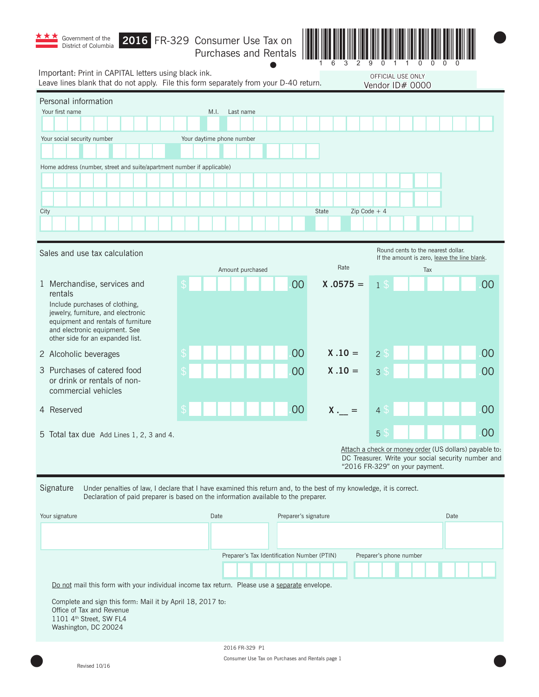| Government of the<br>District of Columbia                                                                                                                                                                                 | 2016 FR-329 Consumer Use Tax on<br>Purchases and Rentals |                      |                |      |
|---------------------------------------------------------------------------------------------------------------------------------------------------------------------------------------------------------------------------|----------------------------------------------------------|----------------------|----------------|------|
| Important: Print in CAPITAL letters using black ink.<br>OFFICIAL USE ONLY<br>Leave lines blank that do not apply. File this form separately from your D-40 return.<br>Vendor ID# 0000                                     |                                                          |                      |                |      |
| Personal information<br>Your first name<br>Your social security number<br>Home address (number, street and suite/apartment number if applicable)<br>City                                                                  | M.I.<br>Last name<br>Your daytime phone number           | <b>State</b>         | Zip Code $+4$  |      |
| Round cents to the nearest dollar.<br>Sales and use tax calculation<br>If the amount is zero, leave the line blank.<br>Rate<br>Amount purchased<br>Tax                                                                    |                                                          |                      |                |      |
| 1 Merchandise, services and<br>rentals<br>Include purchases of clothing,<br>jewelry, furniture, and electronic<br>equipment and rentals of furniture<br>and electronic equipment. See<br>other side for an expanded list. |                                                          | 00<br>$X .0575 =$    | 1 \$           | 00   |
| 2 Alcoholic beverages                                                                                                                                                                                                     |                                                          | 00<br>$X .10 =$      | 2S             | 00   |
| 3 Purchases of catered food<br>or drink or rentals of non-<br>commercial vehicles                                                                                                                                         |                                                          | $X .10 =$<br>00      | 3 <sup>°</sup> | 00   |
| 4 Reserved                                                                                                                                                                                                                | <b>ぐ</b>                                                 | 00<br>$X_{\cdot-}$   | 4 \$           | 00   |
| 5 Total tax due Add Lines 1, 2, 3 and 4.                                                                                                                                                                                  |                                                          |                      | 5 <sup>°</sup> | 00   |
| Attach a check or money order (US dollars) payable to:<br>DC Treasurer. Write your social security number and<br>"2016 FR-329" on your payment.                                                                           |                                                          |                      |                |      |
| Signature<br>Under penalties of law, I declare that I have examined this return and, to the best of my knowledge, it is correct.<br>Declaration of paid preparer is based on the information available to the preparer.   |                                                          |                      |                |      |
| Your signature                                                                                                                                                                                                            | Date                                                     | Preparer's signature |                | Date |

Do not mail this form with your individual income tax return. Please use a separate envelope. Complete and sign this form: Mail it by April 18, 2017 to:

Office of Tax and Revenue 1101 4<sup>th</sup> Street, SW FL4 Washington, DC 20024

Preparer's Tax Identification Number (PTIN) Preparer's phone number